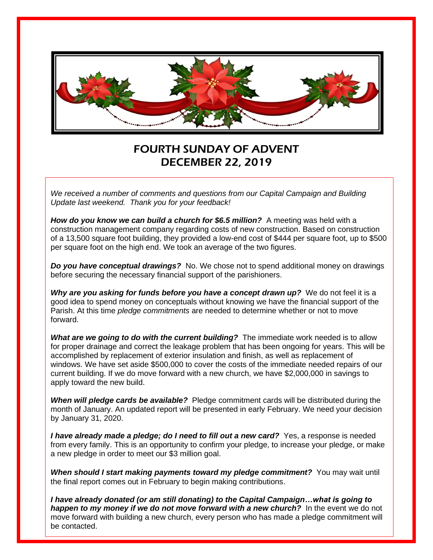

## FOURTH SUNDAY OF ADVENT DECEMBER 22, 2019

*We received a number of comments and questions from our Capital Campaign and Building Update last weekend. Thank you for your feedback!* 

*How do you know we can build a church for \$6.5 million?* A meeting was held with a construction management company regarding costs of new construction. Based on construction of a 13,500 square foot building, they provided a low-end cost of \$444 per square foot, up to \$500 per square foot on the high end. We took an average of the two figures.

*Do you have conceptual drawings?* No. We chose not to spend additional money on drawings before securing the necessary financial support of the parishioners.

*Why are you asking for funds before you have a concept drawn up?* We do not feel it is a good idea to spend money on conceptuals without knowing we have the financial support of the Parish. At this time *pledge commitments* are needed to determine whether or not to move forward.

*What are we going to do with the current building?* The immediate work needed is to allow for proper drainage and correct the leakage problem that has been ongoing for years. This will be accomplished by replacement of exterior insulation and finish, as well as replacement of windows. We have set aside \$500,000 to cover the costs of the immediate needed repairs of our current building. If we do move forward with a new church, we have \$2,000,000 in savings to apply toward the new build.

*When will pledge cards be available?* Pledge commitment cards will be distributed during the month of January. An updated report will be presented in early February. We need your decision by January 31, 2020.

*I have already made a pledge; do I need to fill out a new card?* **Yes, a response is needed** from every family. This is an opportunity to confirm your pledge, to increase your pledge, or make a new pledge in order to meet our \$3 million goal.

*When should I start making payments toward my pledge commitment?* You may wait until the final report comes out in February to begin making contributions.

*I have already donated (or am still donating) to the Capital Campaign…what is going to happen to my money if we do not move forward with a new church?* In the event we do not move forward with building a new church, every person who has made a pledge commitment will be contacted.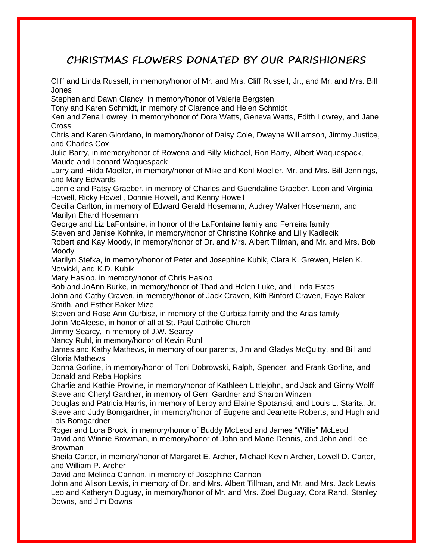## **CHRISTMAS FLOWERS DONATED BY OUR PARISHIONERS**

Cliff and Linda Russell, in memory/honor of Mr. and Mrs. Cliff Russell, Jr., and Mr. and Mrs. Bill Jones

Stephen and Dawn Clancy, in memory/honor of Valerie Bergsten

Tony and Karen Schmidt, in memory of Clarence and Helen Schmidt

Ken and Zena Lowrey, in memory/honor of Dora Watts, Geneva Watts, Edith Lowrey, and Jane Cross

Chris and Karen Giordano, in memory/honor of Daisy Cole, Dwayne Williamson, Jimmy Justice, and Charles Cox

Julie Barry, in memory/honor of Rowena and Billy Michael, Ron Barry, Albert Waquespack, Maude and Leonard Waquespack

Larry and Hilda Moeller, in memory/honor of Mike and Kohl Moeller, Mr. and Mrs. Bill Jennings, and Mary Edwards

Lonnie and Patsy Graeber, in memory of Charles and Guendaline Graeber, Leon and Virginia Howell, Ricky Howell, Donnie Howell, and Kenny Howell

Cecilia Carlton, in memory of Edward Gerald Hosemann, Audrey Walker Hosemann, and Marilyn Ehard Hosemann

George and Liz LaFontaine, in honor of the LaFontaine family and Ferreira family

Steven and Jenise Kohnke, in memory/honor of Christine Kohnke and Lilly Kadlecik

Robert and Kay Moody, in memory/honor of Dr. and Mrs. Albert Tillman, and Mr. and Mrs. Bob Moody

Marilyn Stefka, in memory/honor of Peter and Josephine Kubik, Clara K. Grewen, Helen K. Nowicki, and K.D. Kubik

Mary Haslob, in memory/honor of Chris Haslob

Bob and JoAnn Burke, in memory/honor of Thad and Helen Luke, and Linda Estes

John and Cathy Craven, in memory/honor of Jack Craven, Kitti Binford Craven, Faye Baker Smith, and Esther Baker Mize

Steven and Rose Ann Gurbisz, in memory of the Gurbisz family and the Arias family John McAleese, in honor of all at St. Paul Catholic Church

Jimmy Searcy, in memory of J.W. Searcy

Nancy Ruhl, in memory/honor of Kevin Ruhl

James and Kathy Mathews, in memory of our parents, Jim and Gladys McQuitty, and Bill and Gloria Mathews

Donna Gorline, in memory/honor of Toni Dobrowski, Ralph, Spencer, and Frank Gorline, and Donald and Reba Hopkins

Charlie and Kathie Provine, in memory/honor of Kathleen Littlejohn, and Jack and Ginny Wolff Steve and Cheryl Gardner, in memory of Gerri Gardner and Sharon Winzen

Douglas and Patricia Harris, in memory of Leroy and Elaine Spotanski, and Louis L. Starita, Jr. Steve and Judy Bomgardner, in memory/honor of Eugene and Jeanette Roberts, and Hugh and Lois Bomgardner

Roger and Lora Brock, in memory/honor of Buddy McLeod and James "Willie" McLeod David and Winnie Browman, in memory/honor of John and Marie Dennis, and John and Lee Browman

Sheila Carter, in memory/honor of Margaret E. Archer, Michael Kevin Archer, Lowell D. Carter, and William P. Archer

David and Melinda Cannon, in memory of Josephine Cannon

John and Alison Lewis, in memory of Dr. and Mrs. Albert Tillman, and Mr. and Mrs. Jack Lewis Leo and Katheryn Duguay, in memory/honor of Mr. and Mrs. Zoel Duguay, Cora Rand, Stanley Downs, and Jim Downs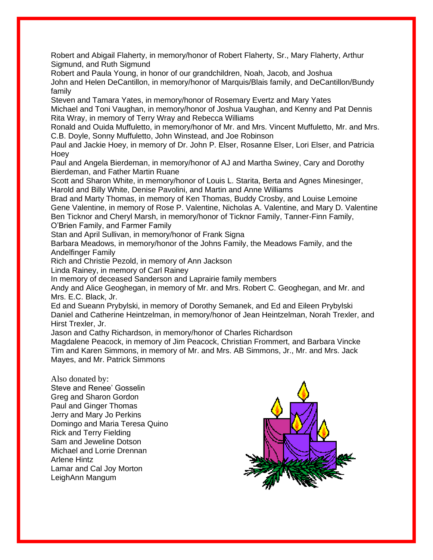Robert and Abigail Flaherty, in memory/honor of Robert Flaherty, Sr., Mary Flaherty, Arthur Sigmund, and Ruth Sigmund

Robert and Paula Young, in honor of our grandchildren, Noah, Jacob, and Joshua John and Helen DeCantillon, in memory/honor of Marquis/Blais family, and DeCantillon/Bundy family

Steven and Tamara Yates, in memory/honor of Rosemary Evertz and Mary Yates Michael and Toni Vaughan, in memory/honor of Joshua Vaughan, and Kenny and Pat Dennis Rita Wray, in memory of Terry Wray and Rebecca Williams

Ronald and Ouida Muffuletto, in memory/honor of Mr. and Mrs. Vincent Muffuletto, Mr. and Mrs. C.B. Doyle, Sonny Muffuletto, John Winstead, and Joe Robinson

Paul and Jackie Hoey, in memory of Dr. John P. Elser, Rosanne Elser, Lori Elser, and Patricia Hoey

Paul and Angela Bierdeman, in memory/honor of AJ and Martha Swiney, Cary and Dorothy Bierdeman, and Father Martin Ruane

Scott and Sharon White, in memory/honor of Louis L. Starita, Berta and Agnes Minesinger, Harold and Billy White, Denise Pavolini, and Martin and Anne Williams

Brad and Marty Thomas, in memory of Ken Thomas, Buddy Crosby, and Louise Lemoine Gene Valentine, in memory of Rose P. Valentine, Nicholas A. Valentine, and Mary D. Valentine Ben Ticknor and Cheryl Marsh, in memory/honor of Ticknor Family, Tanner-Finn Family, O'Brien Family, and Farmer Family

Stan and April Sullivan, in memory/honor of Frank Signa

Barbara Meadows, in memory/honor of the Johns Family, the Meadows Family, and the Andelfinger Family

Rich and Christie Pezold, in memory of Ann Jackson

Linda Rainey, in memory of Carl Rainey

In memory of deceased Sanderson and Laprairie family members

Andy and Alice Geoghegan, in memory of Mr. and Mrs. Robert C. Geoghegan, and Mr. and Mrs. E.C. Black, Jr.

Ed and Sueann Prybylski, in memory of Dorothy Semanek, and Ed and Eileen Prybylski Daniel and Catherine Heintzelman, in memory/honor of Jean Heintzelman, Norah Trexler, and Hirst Trexler, Jr.

Jason and Cathy Richardson, in memory/honor of Charles Richardson

Magdalene Peacock, in memory of Jim Peacock, Christian Frommert, and Barbara Vincke Tim and Karen Simmons, in memory of Mr. and Mrs. AB Simmons, Jr., Mr. and Mrs. Jack Mayes, and Mr. Patrick Simmons

Also donated by: Steve and Renee' Gosselin Greg and Sharon Gordon Paul and Ginger Thomas Jerry and Mary Jo Perkins Domingo and Maria Teresa Quino Rick and Terry Fielding Sam and Jeweline Dotson Michael and Lorrie Drennan Arlene Hintz Lamar and Cal Joy Morton LeighAnn Mangum